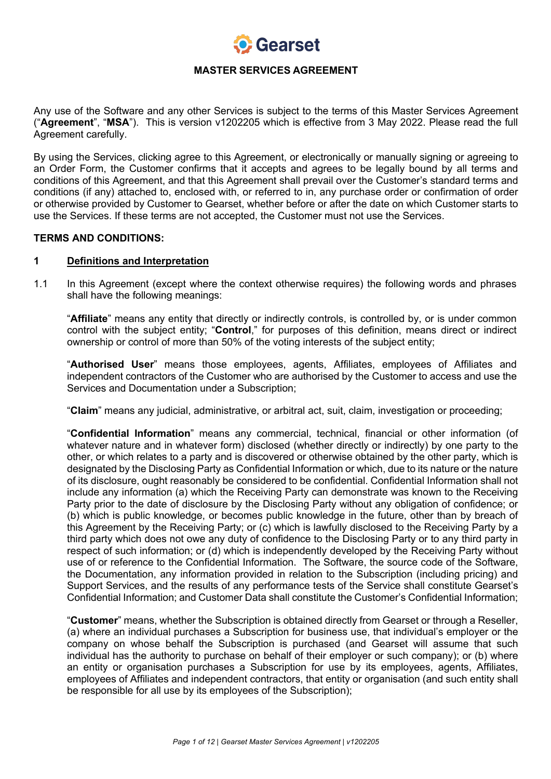

Any use of the Software and any other Services is subject to the terms of this Master Services Agreement ("**Agreement**", "**MSA**"). This is version v1202205 which is effective from 3 May 2022. Please read the full Agreement carefully.

By using the Services, clicking agree to this Agreement, or electronically or manually signing or agreeing to an Order Form, the Customer confirms that it accepts and agrees to be legally bound by all terms and conditions of this Agreement, and that this Agreement shall prevail over the Customer's standard terms and conditions (if any) attached to, enclosed with, or referred to in, any purchase order or confirmation of order or otherwise provided by Customer to Gearset, whether before or after the date on which Customer starts to use the Services. If these terms are not accepted, the Customer must not use the Services.

#### **TERMS AND CONDITIONS:**

#### **1 Definitions and Interpretation**

1.1 In this Agreement (except where the context otherwise requires) the following words and phrases shall have the following meanings:

"**Affiliate**" means any entity that directly or indirectly controls, is controlled by, or is under common control with the subject entity; "**Control**," for purposes of this definition, means direct or indirect ownership or control of more than 50% of the voting interests of the subject entity;

"**Authorised User**" means those employees, agents, Affiliates, employees of Affiliates and independent contractors of the Customer who are authorised by the Customer to access and use the Services and Documentation under a Subscription;

"**Claim**" means any judicial, administrative, or arbitral act, suit, claim, investigation or proceeding;

"**Confidential Information**" means any commercial, technical, financial or other information (of whatever nature and in whatever form) disclosed (whether directly or indirectly) by one party to the other, or which relates to a party and is discovered or otherwise obtained by the other party, which is designated by the Disclosing Party as Confidential Information or which, due to its nature or the nature of its disclosure, ought reasonably be considered to be confidential. Confidential Information shall not include any information (a) which the Receiving Party can demonstrate was known to the Receiving Party prior to the date of disclosure by the Disclosing Party without any obligation of confidence; or (b) which is public knowledge, or becomes public knowledge in the future, other than by breach of this Agreement by the Receiving Party; or (c) which is lawfully disclosed to the Receiving Party by a third party which does not owe any duty of confidence to the Disclosing Party or to any third party in respect of such information; or (d) which is independently developed by the Receiving Party without use of or reference to the Confidential Information. The Software, the source code of the Software, the Documentation, any information provided in relation to the Subscription (including pricing) and Support Services, and the results of any performance tests of the Service shall constitute Gearset's Confidential Information; and Customer Data shall constitute the Customer's Confidential Information;

"**Customer**" means, whether the Subscription is obtained directly from Gearset or through a Reseller, (a) where an individual purchases a Subscription for business use, that individual's employer or the company on whose behalf the Subscription is purchased (and Gearset will assume that such individual has the authority to purchase on behalf of their employer or such company); or (b) where an entity or organisation purchases a Subscription for use by its employees, agents, Affiliates, employees of Affiliates and independent contractors, that entity or organisation (and such entity shall be responsible for all use by its employees of the Subscription);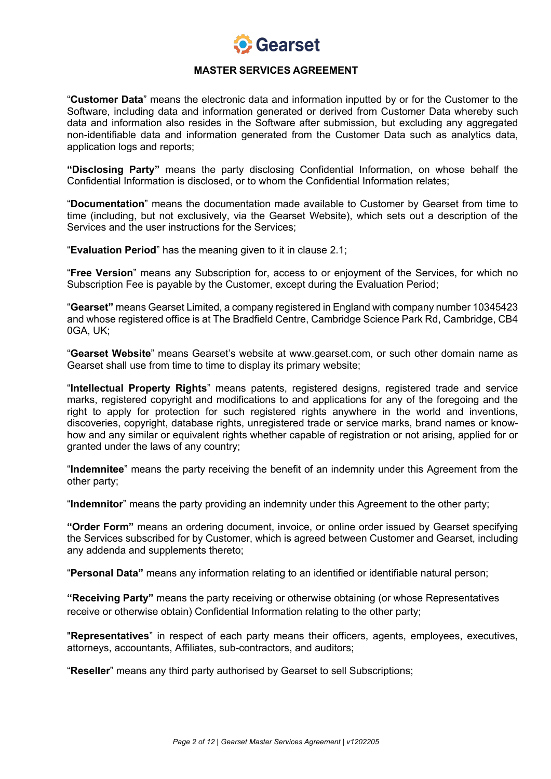

"**Customer Data**" means the electronic data and information inputted by or for the Customer to the Software, including data and information generated or derived from Customer Data whereby such data and information also resides in the Software after submission, but excluding any aggregated non-identifiable data and information generated from the Customer Data such as analytics data, application logs and reports;

**"Disclosing Party"** means the party disclosing Confidential Information, on whose behalf the Confidential Information is disclosed, or to whom the Confidential Information relates;

"**Documentation**" means the documentation made available to Customer by Gearset from time to time (including, but not exclusively, via the Gearset Website), which sets out a description of the Services and the user instructions for the Services;

"**Evaluation Period**" has the meaning given to it in clause 2.1;

"**Free Version**" means any Subscription for, access to or enjoyment of the Services, for which no Subscription Fee is payable by the Customer, except during the Evaluation Period;

"**Gearset"** means Gearset Limited, a company registered in England with company number 10345423 and whose registered office is at The Bradfield Centre, Cambridge Science Park Rd, Cambridge, CB4 0GA, UK;

"**Gearset Website**" means Gearset's website at www.gearset.com, or such other domain name as Gearset shall use from time to time to display its primary website;

"**Intellectual Property Rights**" means patents, registered designs, registered trade and service marks, registered copyright and modifications to and applications for any of the foregoing and the right to apply for protection for such registered rights anywhere in the world and inventions, discoveries, copyright, database rights, unregistered trade or service marks, brand names or knowhow and any similar or equivalent rights whether capable of registration or not arising, applied for or granted under the laws of any country;

"**Indemnitee**" means the party receiving the benefit of an indemnity under this Agreement from the other party;

"**Indemnitor**" means the party providing an indemnity under this Agreement to the other party;

**"Order Form"** means an ordering document, invoice, or online order issued by Gearset specifying the Services subscribed for by Customer, which is agreed between Customer and Gearset, including any addenda and supplements thereto;

"**Personal Data"** means any information relating to an identified or identifiable natural person;

**"Receiving Party"** means the party receiving or otherwise obtaining (or whose Representatives receive or otherwise obtain) Confidential Information relating to the other party;

"**Representatives**" in respect of each party means their officers, agents, employees, executives, attorneys, accountants, Affiliates, sub-contractors, and auditors;

"**Reseller**" means any third party authorised by Gearset to sell Subscriptions;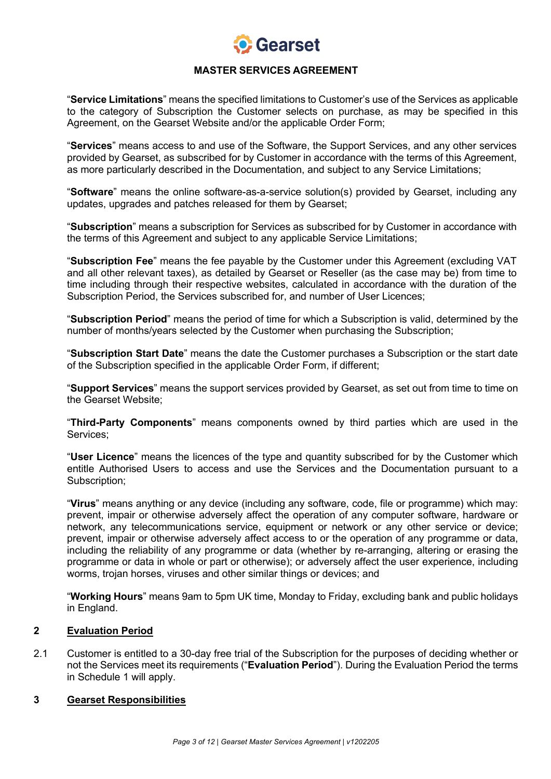

"**Service Limitations**" means the specified limitations to Customer's use of the Services as applicable to the category of Subscription the Customer selects on purchase, as may be specified in this Agreement, on the Gearset Website and/or the applicable Order Form;

"**Services**" means access to and use of the Software, the Support Services, and any other services provided by Gearset, as subscribed for by Customer in accordance with the terms of this Agreement, as more particularly described in the Documentation, and subject to any Service Limitations;

"**Software**" means the online software-as-a-service solution(s) provided by Gearset, including any updates, upgrades and patches released for them by Gearset;

"**Subscription**" means a subscription for Services as subscribed for by Customer in accordance with the terms of this Agreement and subject to any applicable Service Limitations;

"**Subscription Fee**" means the fee payable by the Customer under this Agreement (excluding VAT and all other relevant taxes), as detailed by Gearset or Reseller (as the case may be) from time to time including through their respective websites, calculated in accordance with the duration of the Subscription Period, the Services subscribed for, and number of User Licences;

"**Subscription Period**" means the period of time for which a Subscription is valid, determined by the number of months/years selected by the Customer when purchasing the Subscription;

"**Subscription Start Date**" means the date the Customer purchases a Subscription or the start date of the Subscription specified in the applicable Order Form, if different;

"**Support Services**" means the support services provided by Gearset, as set out from time to time on the Gearset Website;

"**Third-Party Components**" means components owned by third parties which are used in the Services;

"**User Licence**" means the licences of the type and quantity subscribed for by the Customer which entitle Authorised Users to access and use the Services and the Documentation pursuant to a Subscription;

"**Virus**" means anything or any device (including any software, code, file or programme) which may: prevent, impair or otherwise adversely affect the operation of any computer software, hardware or network, any telecommunications service, equipment or network or any other service or device; prevent, impair or otherwise adversely affect access to or the operation of any programme or data, including the reliability of any programme or data (whether by re-arranging, altering or erasing the programme or data in whole or part or otherwise); or adversely affect the user experience, including worms, trojan horses, viruses and other similar things or devices; and

"**Working Hours**" means 9am to 5pm UK time, Monday to Friday, excluding bank and public holidays in England.

## **2 Evaluation Period**

2.1 Customer is entitled to a 30-day free trial of the Subscription for the purposes of deciding whether or not the Services meet its requirements ("**Evaluation Period**"). During the Evaluation Period the terms in Schedule 1 will apply.

#### **3 Gearset Responsibilities**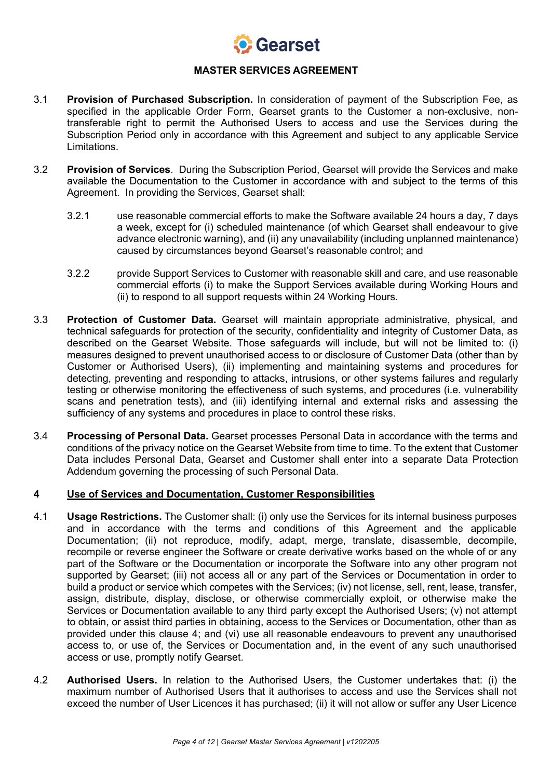

- 3.1 **Provision of Purchased Subscription.** In consideration of payment of the Subscription Fee, as specified in the applicable Order Form, Gearset grants to the Customer a non-exclusive, nontransferable right to permit the Authorised Users to access and use the Services during the Subscription Period only in accordance with this Agreement and subject to any applicable Service Limitations.
- 3.2 **Provision of Services**. During the Subscription Period, Gearset will provide the Services and make available the Documentation to the Customer in accordance with and subject to the terms of this Agreement. In providing the Services, Gearset shall:
	- 3.2.1 use reasonable commercial efforts to make the Software available 24 hours a day, 7 days a week, except for (i) scheduled maintenance (of which Gearset shall endeavour to give advance electronic warning), and (ii) any unavailability (including unplanned maintenance) caused by circumstances beyond Gearset's reasonable control; and
	- 3.2.2 provide Support Services to Customer with reasonable skill and care, and use reasonable commercial efforts (i) to make the Support Services available during Working Hours and (ii) to respond to all support requests within 24 Working Hours.
- 3.3 **Protection of Customer Data.** Gearset will maintain appropriate administrative, physical, and technical safeguards for protection of the security, confidentiality and integrity of Customer Data, as described on the Gearset Website. Those safeguards will include, but will not be limited to: (i) measures designed to prevent unauthorised access to or disclosure of Customer Data (other than by Customer or Authorised Users), (ii) implementing and maintaining systems and procedures for detecting, preventing and responding to attacks, intrusions, or other systems failures and regularly testing or otherwise monitoring the effectiveness of such systems, and procedures (i.e. vulnerability scans and penetration tests), and (iii) identifying internal and external risks and assessing the sufficiency of any systems and procedures in place to control these risks.
- 3.4 **Processing of Personal Data.** Gearset processes Personal Data in accordance with the terms and conditions of the privacy notice on the Gearset Website from time to time. To the extent that Customer Data includes Personal Data, Gearset and Customer shall enter into a separate Data Protection Addendum governing the processing of such Personal Data.

## **4 Use of Services and Documentation, Customer Responsibilities**

- 4.1 **Usage Restrictions.** The Customer shall: (i) only use the Services for its internal business purposes and in accordance with the terms and conditions of this Agreement and the applicable Documentation; (ii) not reproduce, modify, adapt, merge, translate, disassemble, decompile, recompile or reverse engineer the Software or create derivative works based on the whole of or any part of the Software or the Documentation or incorporate the Software into any other program not supported by Gearset; (iii) not access all or any part of the Services or Documentation in order to build a product or service which competes with the Services; (iv) not license, sell, rent, lease, transfer, assign, distribute, display, disclose, or otherwise commercially exploit, or otherwise make the Services or Documentation available to any third party except the Authorised Users; (v) not attempt to obtain, or assist third parties in obtaining, access to the Services or Documentation, other than as provided under this clause 4; and (vi) use all reasonable endeavours to prevent any unauthorised access to, or use of, the Services or Documentation and, in the event of any such unauthorised access or use, promptly notify Gearset.
- 4.2 **Authorised Users.** In relation to the Authorised Users, the Customer undertakes that: (i) the maximum number of Authorised Users that it authorises to access and use the Services shall not exceed the number of User Licences it has purchased; (ii) it will not allow or suffer any User Licence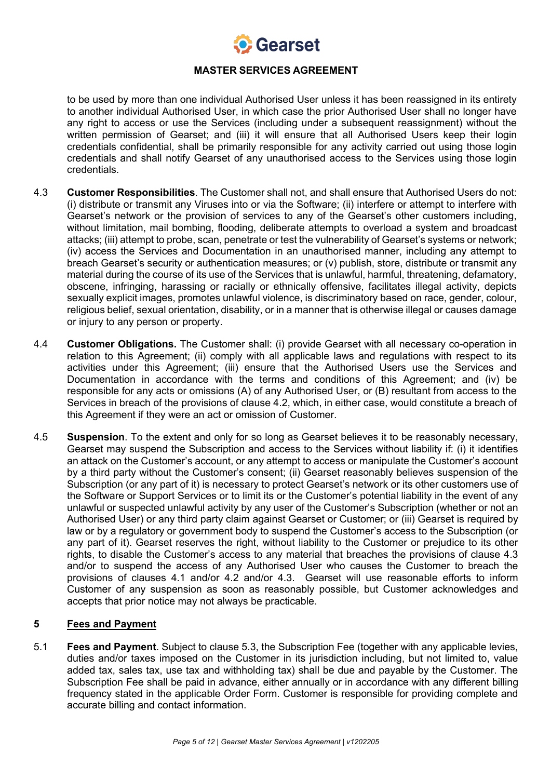

to be used by more than one individual Authorised User unless it has been reassigned in its entirety to another individual Authorised User, in which case the prior Authorised User shall no longer have any right to access or use the Services (including under a subsequent reassignment) without the written permission of Gearset; and (iii) it will ensure that all Authorised Users keep their login credentials confidential, shall be primarily responsible for any activity carried out using those login credentials and shall notify Gearset of any unauthorised access to the Services using those login credentials.

- 4.3 **Customer Responsibilities**. The Customer shall not, and shall ensure that Authorised Users do not: (i) distribute or transmit any Viruses into or via the Software; (ii) interfere or attempt to interfere with Gearset's network or the provision of services to any of the Gearset's other customers including, without limitation, mail bombing, flooding, deliberate attempts to overload a system and broadcast attacks; (iii) attempt to probe, scan, penetrate or test the vulnerability of Gearset's systems or network; (iv) access the Services and Documentation in an unauthorised manner, including any attempt to breach Gearset's security or authentication measures; or (v) publish, store, distribute or transmit any material during the course of its use of the Services that is unlawful, harmful, threatening, defamatory, obscene, infringing, harassing or racially or ethnically offensive, facilitates illegal activity, depicts sexually explicit images, promotes unlawful violence, is discriminatory based on race, gender, colour, religious belief, sexual orientation, disability, or in a manner that is otherwise illegal or causes damage or injury to any person or property.
- 4.4 **Customer Obligations.** The Customer shall: (i) provide Gearset with all necessary co-operation in relation to this Agreement; (ii) comply with all applicable laws and regulations with respect to its activities under this Agreement; (iii) ensure that the Authorised Users use the Services and Documentation in accordance with the terms and conditions of this Agreement; and (iv) be responsible for any acts or omissions (A) of any Authorised User, or (B) resultant from access to the Services in breach of the provisions of clause 4.2, which, in either case, would constitute a breach of this Agreement if they were an act or omission of Customer.
- 4.5 **Suspension**. To the extent and only for so long as Gearset believes it to be reasonably necessary, Gearset may suspend the Subscription and access to the Services without liability if: (i) it identifies an attack on the Customer's account, or any attempt to access or manipulate the Customer's account by a third party without the Customer's consent; (ii) Gearset reasonably believes suspension of the Subscription (or any part of it) is necessary to protect Gearset's network or its other customers use of the Software or Support Services or to limit its or the Customer's potential liability in the event of any unlawful or suspected unlawful activity by any user of the Customer's Subscription (whether or not an Authorised User) or any third party claim against Gearset or Customer; or (iii) Gearset is required by law or by a regulatory or government body to suspend the Customer's access to the Subscription (or any part of it). Gearset reserves the right, without liability to the Customer or prejudice to its other rights, to disable the Customer's access to any material that breaches the provisions of clause 4.3 and/or to suspend the access of any Authorised User who causes the Customer to breach the provisions of clauses 4.1 and/or 4.2 and/or 4.3. Gearset will use reasonable efforts to inform Customer of any suspension as soon as reasonably possible, but Customer acknowledges and accepts that prior notice may not always be practicable.

## **5 Fees and Payment**

5.1 **Fees and Payment**. Subject to clause 5.3, the Subscription Fee (together with any applicable levies, duties and/or taxes imposed on the Customer in its jurisdiction including, but not limited to, value added tax, sales tax, use tax and withholding tax) shall be due and payable by the Customer. The Subscription Fee shall be paid in advance, either annually or in accordance with any different billing frequency stated in the applicable Order Form. Customer is responsible for providing complete and accurate billing and contact information.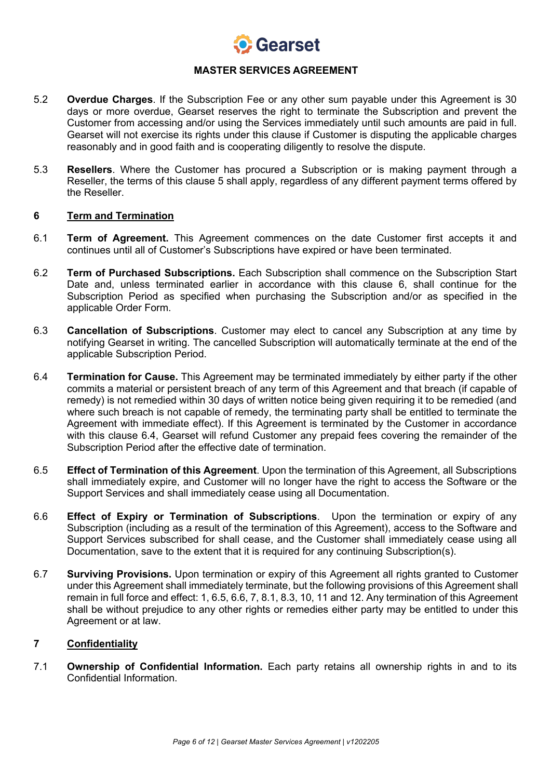

- 5.2 **Overdue Charges**. If the Subscription Fee or any other sum payable under this Agreement is 30 days or more overdue, Gearset reserves the right to terminate the Subscription and prevent the Customer from accessing and/or using the Services immediately until such amounts are paid in full. Gearset will not exercise its rights under this clause if Customer is disputing the applicable charges reasonably and in good faith and is cooperating diligently to resolve the dispute.
- 5.3 **Resellers**. Where the Customer has procured a Subscription or is making payment through a Reseller, the terms of this clause 5 shall apply, regardless of any different payment terms offered by the Reseller.

#### **6 Term and Termination**

- 6.1 **Term of Agreement.** This Agreement commences on the date Customer first accepts it and continues until all of Customer's Subscriptions have expired or have been terminated.
- 6.2 **Term of Purchased Subscriptions.** Each Subscription shall commence on the Subscription Start Date and, unless terminated earlier in accordance with this clause 6, shall continue for the Subscription Period as specified when purchasing the Subscription and/or as specified in the applicable Order Form.
- 6.3 **Cancellation of Subscriptions**. Customer may elect to cancel any Subscription at any time by notifying Gearset in writing. The cancelled Subscription will automatically terminate at the end of the applicable Subscription Period.
- 6.4 **Termination for Cause.** This Agreement may be terminated immediately by either party if the other commits a material or persistent breach of any term of this Agreement and that breach (if capable of remedy) is not remedied within 30 days of written notice being given requiring it to be remedied (and where such breach is not capable of remedy, the terminating party shall be entitled to terminate the Agreement with immediate effect). If this Agreement is terminated by the Customer in accordance with this clause 6.4, Gearset will refund Customer any prepaid fees covering the remainder of the Subscription Period after the effective date of termination.
- 6.5 **Effect of Termination of this Agreement**. Upon the termination of this Agreement, all Subscriptions shall immediately expire, and Customer will no longer have the right to access the Software or the Support Services and shall immediately cease using all Documentation.
- 6.6 **Effect of Expiry or Termination of Subscriptions**. Upon the termination or expiry of any Subscription (including as a result of the termination of this Agreement), access to the Software and Support Services subscribed for shall cease, and the Customer shall immediately cease using all Documentation, save to the extent that it is required for any continuing Subscription(s).
- 6.7 **Surviving Provisions.** Upon termination or expiry of this Agreement all rights granted to Customer under this Agreement shall immediately terminate, but the following provisions of this Agreement shall remain in full force and effect: 1, 6.5, 6.6, 7, 8.1, 8.3, 10, 11 and 12. Any termination of this Agreement shall be without prejudice to any other rights or remedies either party may be entitled to under this Agreement or at law.

# **7 Confidentiality**

7.1 **Ownership of Confidential Information.** Each party retains all ownership rights in and to its Confidential Information.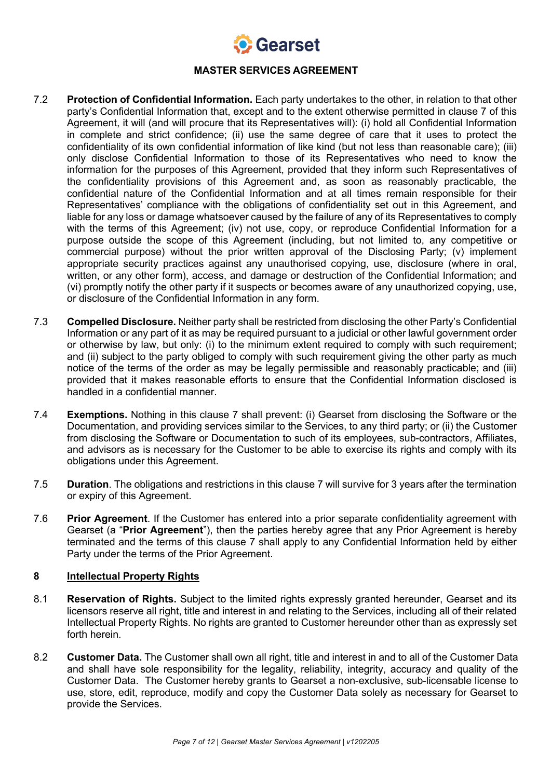

- 7.2 **Protection of Confidential Information.** Each party undertakes to the other, in relation to that other party's Confidential Information that, except and to the extent otherwise permitted in clause 7 of this Agreement, it will (and will procure that its Representatives will): (i) hold all Confidential Information in complete and strict confidence; (ii) use the same degree of care that it uses to protect the confidentiality of its own confidential information of like kind (but not less than reasonable care); (iii) only disclose Confidential Information to those of its Representatives who need to know the information for the purposes of this Agreement, provided that they inform such Representatives of the confidentiality provisions of this Agreement and, as soon as reasonably practicable, the confidential nature of the Confidential Information and at all times remain responsible for their Representatives' compliance with the obligations of confidentiality set out in this Agreement, and liable for any loss or damage whatsoever caused by the failure of any of its Representatives to comply with the terms of this Agreement; (iv) not use, copy, or reproduce Confidential Information for a purpose outside the scope of this Agreement (including, but not limited to, any competitive or commercial purpose) without the prior written approval of the Disclosing Party; (v) implement appropriate security practices against any unauthorised copying, use, disclosure (where in oral, written, or any other form), access, and damage or destruction of the Confidential Information; and (vi) promptly notify the other party if it suspects or becomes aware of any unauthorized copying, use, or disclosure of the Confidential Information in any form.
- 7.3 **Compelled Disclosure.** Neither party shall be restricted from disclosing the other Party's Confidential Information or any part of it as may be required pursuant to a judicial or other lawful government order or otherwise by law, but only: (i) to the minimum extent required to comply with such requirement; and (ii) subject to the party obliged to comply with such requirement giving the other party as much notice of the terms of the order as may be legally permissible and reasonably practicable; and (iii) provided that it makes reasonable efforts to ensure that the Confidential Information disclosed is handled in a confidential manner.
- 7.4 **Exemptions.** Nothing in this clause 7 shall prevent: (i) Gearset from disclosing the Software or the Documentation, and providing services similar to the Services, to any third party; or (ii) the Customer from disclosing the Software or Documentation to such of its employees, sub-contractors, Affiliates, and advisors as is necessary for the Customer to be able to exercise its rights and comply with its obligations under this Agreement.
- 7.5 **Duration**. The obligations and restrictions in this clause 7 will survive for 3 years after the termination or expiry of this Agreement.
- 7.6 **Prior Agreement**. If the Customer has entered into a prior separate confidentiality agreement with Gearset (a "**Prior Agreement**"), then the parties hereby agree that any Prior Agreement is hereby terminated and the terms of this clause 7 shall apply to any Confidential Information held by either Party under the terms of the Prior Agreement.

# **8 Intellectual Property Rights**

- 8.1 **Reservation of Rights.** Subject to the limited rights expressly granted hereunder, Gearset and its licensors reserve all right, title and interest in and relating to the Services, including all of their related Intellectual Property Rights. No rights are granted to Customer hereunder other than as expressly set forth herein.
- 8.2 **Customer Data.** The Customer shall own all right, title and interest in and to all of the Customer Data and shall have sole responsibility for the legality, reliability, integrity, accuracy and quality of the Customer Data. The Customer hereby grants to Gearset a non-exclusive, sub-licensable license to use, store, edit, reproduce, modify and copy the Customer Data solely as necessary for Gearset to provide the Services.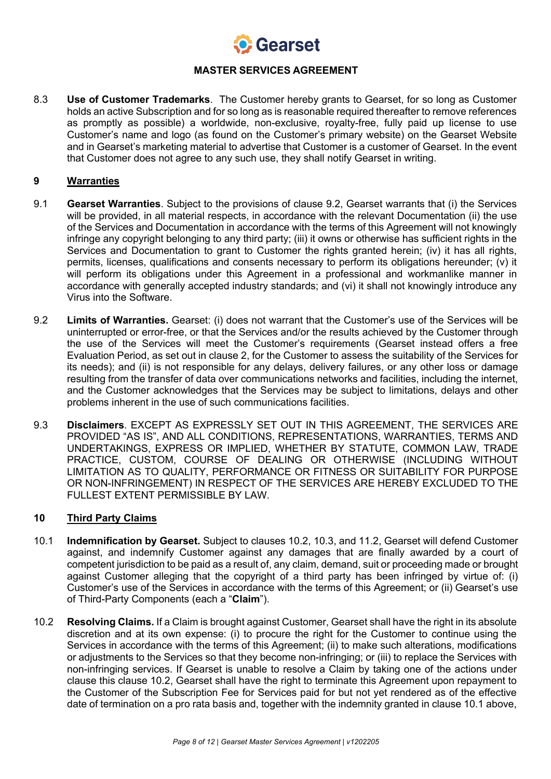

8.3 **Use of Customer Trademarks**. The Customer hereby grants to Gearset, for so long as Customer holds an active Subscription and for so long as is reasonable required thereafter to remove references as promptly as possible) a worldwide, non-exclusive, royalty-free, fully paid up license to use Customer's name and logo (as found on the Customer's primary website) on the Gearset Website and in Gearset's marketing material to advertise that Customer is a customer of Gearset. In the event that Customer does not agree to any such use, they shall notify Gearset in writing.

## **9 Warranties**

- 9.1 **Gearset Warranties**. Subject to the provisions of clause 9.2, Gearset warrants that (i) the Services will be provided, in all material respects, in accordance with the relevant Documentation (ii) the use of the Services and Documentation in accordance with the terms of this Agreement will not knowingly infringe any copyright belonging to any third party; (iii) it owns or otherwise has sufficient rights in the Services and Documentation to grant to Customer the rights granted herein; (iv) it has all rights, permits, licenses, qualifications and consents necessary to perform its obligations hereunder; (v) it will perform its obligations under this Agreement in a professional and workmanlike manner in accordance with generally accepted industry standards; and (vi) it shall not knowingly introduce any Virus into the Software.
- 9.2 **Limits of Warranties.** Gearset: (i) does not warrant that the Customer's use of the Services will be uninterrupted or error-free, or that the Services and/or the results achieved by the Customer through the use of the Services will meet the Customer's requirements (Gearset instead offers a free Evaluation Period, as set out in clause 2, for the Customer to assess the suitability of the Services for its needs); and (ii) is not responsible for any delays, delivery failures, or any other loss or damage resulting from the transfer of data over communications networks and facilities, including the internet, and the Customer acknowledges that the Services may be subject to limitations, delays and other problems inherent in the use of such communications facilities.
- 9.3 **Disclaimers**. EXCEPT AS EXPRESSLY SET OUT IN THIS AGREEMENT, THE SERVICES ARE PROVIDED "AS IS", AND ALL CONDITIONS, REPRESENTATIONS, WARRANTIES, TERMS AND UNDERTAKINGS, EXPRESS OR IMPLIED, WHETHER BY STATUTE, COMMON LAW, TRADE PRACTICE, CUSTOM, COURSE OF DEALING OR OTHERWISE (INCLUDING WITHOUT LIMITATION AS TO QUALITY, PERFORMANCE OR FITNESS OR SUITABILITY FOR PURPOSE OR NON-INFRINGEMENT) IN RESPECT OF THE SERVICES ARE HEREBY EXCLUDED TO THE FULLEST EXTENT PERMISSIBLE BY LAW.

## **10 Third Party Claims**

- 10.1 **Indemnification by Gearset.** Subject to clauses 10.2, 10.3, and 11.2, Gearset will defend Customer against, and indemnify Customer against any damages that are finally awarded by a court of competent jurisdiction to be paid as a result of, any claim, demand, suit or proceeding made or brought against Customer alleging that the copyright of a third party has been infringed by virtue of: (i) Customer's use of the Services in accordance with the terms of this Agreement; or (ii) Gearset's use of Third-Party Components (each a "**Claim**").
- 10.2 **Resolving Claims.** If a Claim is brought against Customer, Gearset shall have the right in its absolute discretion and at its own expense: (i) to procure the right for the Customer to continue using the Services in accordance with the terms of this Agreement; (ii) to make such alterations, modifications or adjustments to the Services so that they become non-infringing; or (iii) to replace the Services with non-infringing services. If Gearset is unable to resolve a Claim by taking one of the actions under clause this clause 10.2, Gearset shall have the right to terminate this Agreement upon repayment to the Customer of the Subscription Fee for Services paid for but not yet rendered as of the effective date of termination on a pro rata basis and, together with the indemnity granted in clause 10.1 above,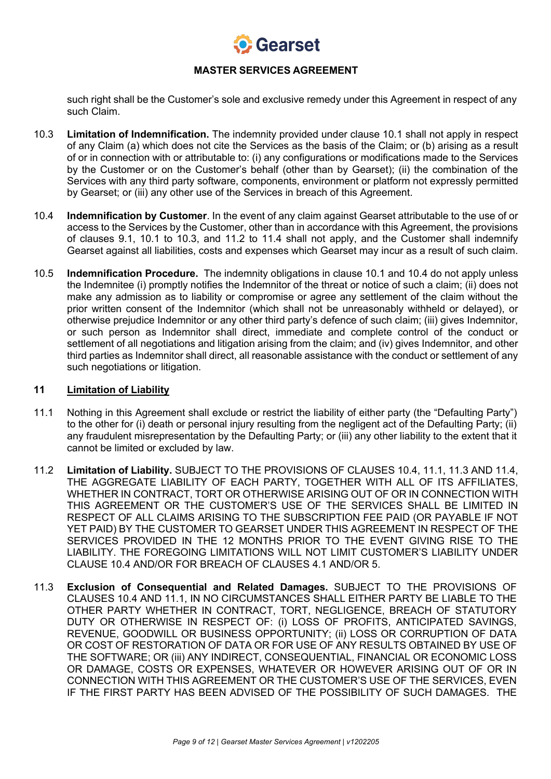

such right shall be the Customer's sole and exclusive remedy under this Agreement in respect of any such Claim.

- 10.3 **Limitation of Indemnification.** The indemnity provided under clause 10.1 shall not apply in respect of any Claim (a) which does not cite the Services as the basis of the Claim; or (b) arising as a result of or in connection with or attributable to: (i) any configurations or modifications made to the Services by the Customer or on the Customer's behalf (other than by Gearset); (ii) the combination of the Services with any third party software, components, environment or platform not expressly permitted by Gearset; or (iii) any other use of the Services in breach of this Agreement.
- 10.4 **Indemnification by Customer**. In the event of any claim against Gearset attributable to the use of or access to the Services by the Customer, other than in accordance with this Agreement, the provisions of clauses 9.1, 10.1 to 10.3, and 11.2 to 11.4 shall not apply, and the Customer shall indemnify Gearset against all liabilities, costs and expenses which Gearset may incur as a result of such claim.
- 10.5 **Indemnification Procedure.** The indemnity obligations in clause 10.1 and 10.4 do not apply unless the Indemnitee (i) promptly notifies the Indemnitor of the threat or notice of such a claim; (ii) does not make any admission as to liability or compromise or agree any settlement of the claim without the prior written consent of the Indemnitor (which shall not be unreasonably withheld or delayed), or otherwise prejudice Indemnitor or any other third party's defence of such claim; (iii) gives Indemnitor, or such person as Indemnitor shall direct, immediate and complete control of the conduct or settlement of all negotiations and litigation arising from the claim; and (iv) gives Indemnitor, and other third parties as Indemnitor shall direct, all reasonable assistance with the conduct or settlement of any such negotiations or litigation.

#### **11 Limitation of Liability**

- 11.1 Nothing in this Agreement shall exclude or restrict the liability of either party (the "Defaulting Party") to the other for (i) death or personal injury resulting from the negligent act of the Defaulting Party; (ii) any fraudulent misrepresentation by the Defaulting Party; or (iii) any other liability to the extent that it cannot be limited or excluded by law.
- 11.2 **Limitation of Liability.** SUBJECT TO THE PROVISIONS OF CLAUSES 10.4, 11.1, 11.3 AND 11.4, THE AGGREGATE LIABILITY OF EACH PARTY, TOGETHER WITH ALL OF ITS AFFILIATES, WHETHER IN CONTRACT, TORT OR OTHERWISE ARISING OUT OF OR IN CONNECTION WITH THIS AGREEMENT OR THE CUSTOMER'S USE OF THE SERVICES SHALL BE LIMITED IN RESPECT OF ALL CLAIMS ARISING TO THE SUBSCRIPTION FEE PAID (OR PAYABLE IF NOT YET PAID) BY THE CUSTOMER TO GEARSET UNDER THIS AGREEMENT IN RESPECT OF THE SERVICES PROVIDED IN THE 12 MONTHS PRIOR TO THE EVENT GIVING RISE TO THE LIABILITY. THE FOREGOING LIMITATIONS WILL NOT LIMIT CUSTOMER'S LIABILITY UNDER CLAUSE 10.4 AND/OR FOR BREACH OF CLAUSES 4.1 AND/OR 5.
- 11.3 **Exclusion of Consequential and Related Damages.** SUBJECT TO THE PROVISIONS OF CLAUSES 10.4 AND 11.1, IN NO CIRCUMSTANCES SHALL EITHER PARTY BE LIABLE TO THE OTHER PARTY WHETHER IN CONTRACT, TORT, NEGLIGENCE, BREACH OF STATUTORY DUTY OR OTHERWISE IN RESPECT OF: (i) LOSS OF PROFITS, ANTICIPATED SAVINGS, REVENUE, GOODWILL OR BUSINESS OPPORTUNITY; (ii) LOSS OR CORRUPTION OF DATA OR COST OF RESTORATION OF DATA OR FOR USE OF ANY RESULTS OBTAINED BY USE OF THE SOFTWARE; OR (iii) ANY INDIRECT, CONSEQUENTIAL, FINANCIAL OR ECONOMIC LOSS OR DAMAGE, COSTS OR EXPENSES, WHATEVER OR HOWEVER ARISING OUT OF OR IN CONNECTION WITH THIS AGREEMENT OR THE CUSTOMER'S USE OF THE SERVICES, EVEN IF THE FIRST PARTY HAS BEEN ADVISED OF THE POSSIBILITY OF SUCH DAMAGES. THE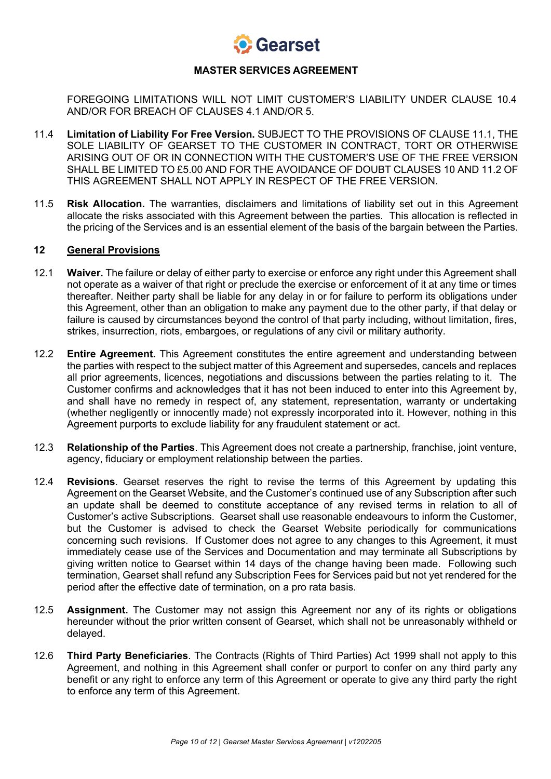

FOREGOING LIMITATIONS WILL NOT LIMIT CUSTOMER'S LIABILITY UNDER CLAUSE 10.4 AND/OR FOR BREACH OF CLAUSES 4.1 AND/OR 5.

- 11.4 **Limitation of Liability For Free Version.** SUBJECT TO THE PROVISIONS OF CLAUSE 11.1, THE SOLE LIABILITY OF GEARSET TO THE CUSTOMER IN CONTRACT, TORT OR OTHERWISE ARISING OUT OF OR IN CONNECTION WITH THE CUSTOMER'S USE OF THE FREE VERSION SHALL BE LIMITED TO £5.00 AND FOR THE AVOIDANCE OF DOUBT CLAUSES 10 AND 11.2 OF THIS AGREEMENT SHALL NOT APPLY IN RESPECT OF THE FREE VERSION.
- 11.5 **Risk Allocation.** The warranties, disclaimers and limitations of liability set out in this Agreement allocate the risks associated with this Agreement between the parties. This allocation is reflected in the pricing of the Services and is an essential element of the basis of the bargain between the Parties.

#### **12 General Provisions**

- 12.1 **Waiver.** The failure or delay of either party to exercise or enforce any right under this Agreement shall not operate as a waiver of that right or preclude the exercise or enforcement of it at any time or times thereafter. Neither party shall be liable for any delay in or for failure to perform its obligations under this Agreement, other than an obligation to make any payment due to the other party, if that delay or failure is caused by circumstances beyond the control of that party including, without limitation, fires, strikes, insurrection, riots, embargoes, or regulations of any civil or military authority.
- 12.2 **Entire Agreement.** This Agreement constitutes the entire agreement and understanding between the parties with respect to the subject matter of this Agreement and supersedes, cancels and replaces all prior agreements, licences, negotiations and discussions between the parties relating to it. The Customer confirms and acknowledges that it has not been induced to enter into this Agreement by, and shall have no remedy in respect of, any statement, representation, warranty or undertaking (whether negligently or innocently made) not expressly incorporated into it. However, nothing in this Agreement purports to exclude liability for any fraudulent statement or act.
- 12.3 **Relationship of the Parties**. This Agreement does not create a partnership, franchise, joint venture, agency, fiduciary or employment relationship between the parties.
- 12.4 **Revisions**. Gearset reserves the right to revise the terms of this Agreement by updating this Agreement on the Gearset Website, and the Customer's continued use of any Subscription after such an update shall be deemed to constitute acceptance of any revised terms in relation to all of Customer's active Subscriptions. Gearset shall use reasonable endeavours to inform the Customer, but the Customer is advised to check the Gearset Website periodically for communications concerning such revisions. If Customer does not agree to any changes to this Agreement, it must immediately cease use of the Services and Documentation and may terminate all Subscriptions by giving written notice to Gearset within 14 days of the change having been made. Following such termination, Gearset shall refund any Subscription Fees for Services paid but not yet rendered for the period after the effective date of termination, on a pro rata basis.
- 12.5 **Assignment.** The Customer may not assign this Agreement nor any of its rights or obligations hereunder without the prior written consent of Gearset, which shall not be unreasonably withheld or delayed.
- 12.6 **Third Party Beneficiaries**. The Contracts (Rights of Third Parties) Act 1999 shall not apply to this Agreement, and nothing in this Agreement shall confer or purport to confer on any third party any benefit or any right to enforce any term of this Agreement or operate to give any third party the right to enforce any term of this Agreement.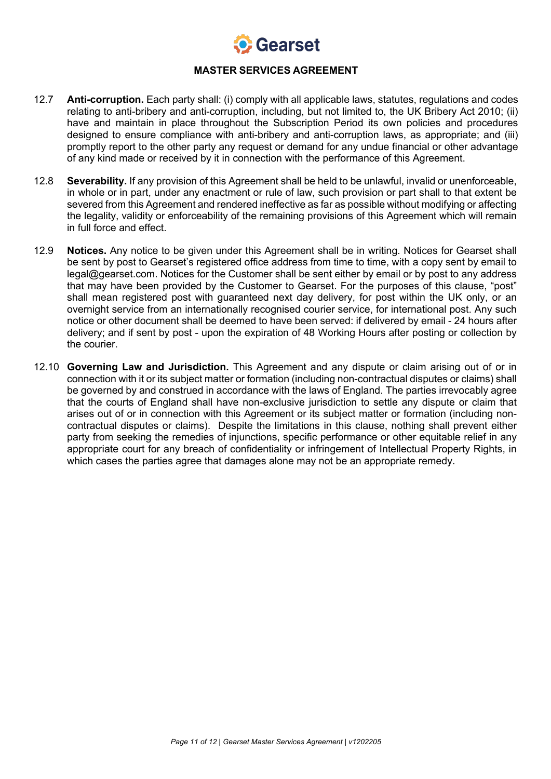

- 12.7 **Anti-corruption.** Each party shall: (i) comply with all applicable laws, statutes, regulations and codes relating to anti-bribery and anti-corruption, including, but not limited to, the UK Bribery Act 2010; (ii) have and maintain in place throughout the Subscription Period its own policies and procedures designed to ensure compliance with anti-bribery and anti-corruption laws, as appropriate; and (iii) promptly report to the other party any request or demand for any undue financial or other advantage of any kind made or received by it in connection with the performance of this Agreement.
- 12.8 **Severability.** If any provision of this Agreement shall be held to be unlawful, invalid or unenforceable, in whole or in part, under any enactment or rule of law, such provision or part shall to that extent be severed from this Agreement and rendered ineffective as far as possible without modifying or affecting the legality, validity or enforceability of the remaining provisions of this Agreement which will remain in full force and effect.
- 12.9 **Notices.** Any notice to be given under this Agreement shall be in writing. Notices for Gearset shall be sent by post to Gearset's registered office address from time to time, with a copy sent by email to legal@gearset.com. Notices for the Customer shall be sent either by email or by post to any address that may have been provided by the Customer to Gearset. For the purposes of this clause, "post" shall mean registered post with guaranteed next day delivery, for post within the UK only, or an overnight service from an internationally recognised courier service, for international post. Any such notice or other document shall be deemed to have been served: if delivered by email - 24 hours after delivery; and if sent by post - upon the expiration of 48 Working Hours after posting or collection by the courier.
- 12.10 **Governing Law and Jurisdiction.** This Agreement and any dispute or claim arising out of or in connection with it or its subject matter or formation (including non-contractual disputes or claims) shall be governed by and construed in accordance with the laws of England. The parties irrevocably agree that the courts of England shall have non-exclusive jurisdiction to settle any dispute or claim that arises out of or in connection with this Agreement or its subject matter or formation (including noncontractual disputes or claims). Despite the limitations in this clause, nothing shall prevent either party from seeking the remedies of injunctions, specific performance or other equitable relief in any appropriate court for any breach of confidentiality or infringement of Intellectual Property Rights, in which cases the parties agree that damages alone may not be an appropriate remedy.